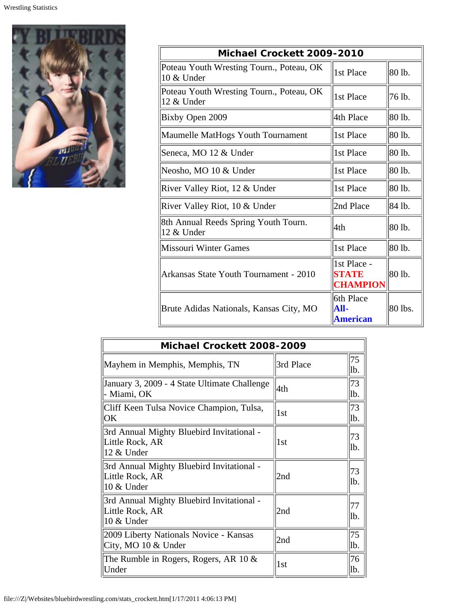

| Michael Crockett 2009-2010                             |                                         |         |  |
|--------------------------------------------------------|-----------------------------------------|---------|--|
| Poteau Youth Wresting Tourn., Poteau, OK<br>10 & Under | 1st Place                               | 80 lb.  |  |
| Poteau Youth Wresting Tourn., Poteau, OK<br>12 & Under | 1st Place                               | 76 lb.  |  |
| Bixby Open 2009                                        | 4th Place                               | 80 lb.  |  |
| Maumelle MatHogs Youth Tournament                      | 1st Place                               | 80 lb.  |  |
| Seneca, MO 12 & Under                                  | 1st Place                               | 80 lb.  |  |
| Neosho, MO 10 & Under                                  | 1st Place                               | 80 lb.  |  |
| River Valley Riot, 12 & Under                          | 1st Place                               | 80 lb.  |  |
| River Valley Riot, 10 & Under                          | 2nd Place                               | 84 lb.  |  |
| 8th Annual Reeds Spring Youth Tourn.<br>12 & Under     | 4th                                     | 80 lb.  |  |
| Missouri Winter Games                                  | 1st Place                               | 80 lb.  |  |
| Arkansas State Youth Tournament - 2010                 | 1st Place -<br>STATE<br><b>CHAMPION</b> | 80 lb.  |  |
| Brute Adidas Nationals, Kansas City, MO                | 6th Place<br>All-<br><b>American</b>    | 80 lbs. |  |

| Michael Crockett 2008-2009                                                 |           |           |  |
|----------------------------------------------------------------------------|-----------|-----------|--|
| Mayhem in Memphis, Memphis, TN                                             | 3rd Place | 75<br>lb. |  |
| January 3, 2009 - 4 State Ultimate Challenge<br>- Miami, OK                | 4th       | 73<br>lb. |  |
| Cliff Keen Tulsa Novice Champion, Tulsa,<br>$\overline{\text{ OK}}$        | 1st       | 73<br>lb. |  |
| 3rd Annual Mighty Bluebird Invitational -<br>Little Rock, AR<br>12 & Under | 1st       | 73<br>lb. |  |
| 3rd Annual Mighty Bluebird Invitational -<br>Little Rock, AR<br>10 & Under | 2nd       | 73<br>lb. |  |
| 3rd Annual Mighty Bluebird Invitational -<br>Little Rock, AR<br>10 & Under | 2nd       | 77<br>lb. |  |
| 2009 Liberty Nationals Novice - Kansas<br>City, MO 10 & Under              | 2nd       | 75<br>lb. |  |
| The Rumble in Rogers, Rogers, AR 10 $\&$<br>  Under                        | 1st       | 76<br>lb. |  |